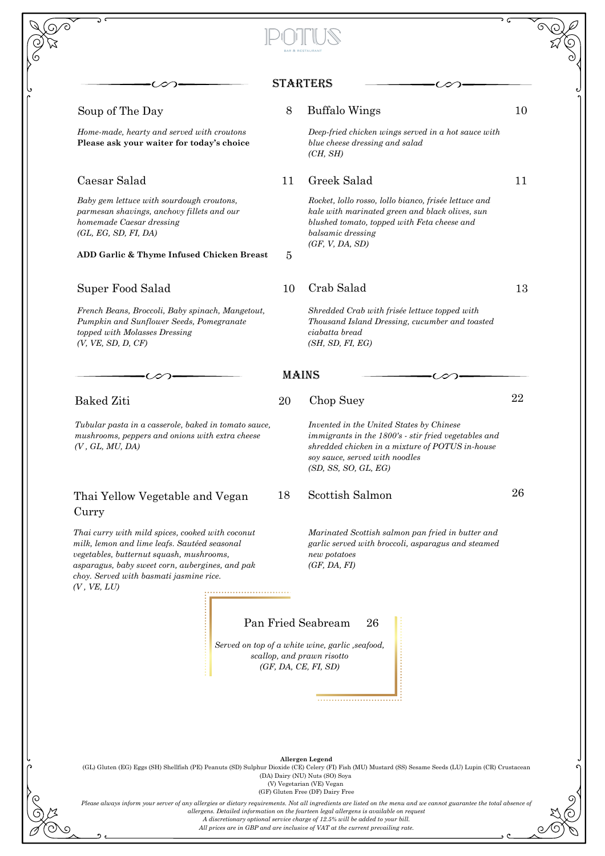|                                                                                                                                                                                                                                                           |    | <b>STARTERS</b>                                                                                                                                                                                               |    |
|-----------------------------------------------------------------------------------------------------------------------------------------------------------------------------------------------------------------------------------------------------------|----|---------------------------------------------------------------------------------------------------------------------------------------------------------------------------------------------------------------|----|
| Soup of The Day                                                                                                                                                                                                                                           | 8  | <b>Buffalo Wings</b>                                                                                                                                                                                          | 10 |
| Home-made, hearty and served with croutons<br>Please ask your waiter for today's choice                                                                                                                                                                   |    | Deep-fried chicken wings served in a hot sauce with<br>blue cheese dressing and salad<br>(CH, SH)                                                                                                             |    |
| Caesar Salad                                                                                                                                                                                                                                              | 11 | Greek Salad                                                                                                                                                                                                   | 11 |
| Baby gem lettuce with sourdough croutons,<br>parmesan shavings, anchovy fillets and our<br>homemade Caesar dressing<br>(GL, EG, SD, FI, DA)                                                                                                               |    | Rocket, lollo rosso, lollo bianco, frisée lettuce and<br>kale with marinated green and black olives, sun<br>blushed tomato, topped with Feta cheese and<br>balsamic dressing<br>(GF, V, DA, SD)               |    |
| ADD Garlic & Thyme Infused Chicken Breast                                                                                                                                                                                                                 | 5  |                                                                                                                                                                                                               |    |
| Super Food Salad                                                                                                                                                                                                                                          | 10 | Crab Salad                                                                                                                                                                                                    | 13 |
| French Beans, Broccoli, Baby spinach, Mangetout,<br>Pumpkin and Sunflower Seeds, Pomegranate<br>topped with Molasses Dressing<br>(V, VE, SD, D, CF)                                                                                                       |    | Shredded Crab with frisée lettuce topped with<br>Thousand Island Dressing, cucumber and toasted<br>ciabatta bread<br>(SH, SD, FI, EG)                                                                         |    |
|                                                                                                                                                                                                                                                           |    | <b>MAINS</b>                                                                                                                                                                                                  |    |
| <b>Baked Ziti</b>                                                                                                                                                                                                                                         | 20 | Chop Suey                                                                                                                                                                                                     | 22 |
| Tubular pasta in a casserole, baked in tomato sauce,<br>mushrooms, peppers and onions with extra cheese<br>(V, GL, MU, DA)                                                                                                                                |    | Invented in the United States by Chinese<br>immigrants in the 1800's - stir fried vegetables and<br>shredded chicken in a mixture of POTUS in-house<br>soy sauce, served with noodles<br>(SD, SS, SO, GL, EG) |    |
| Thai Yellow Vegetable and Vegan<br>Curry                                                                                                                                                                                                                  | 18 | Scottish Salmon                                                                                                                                                                                               | 26 |
| Thai curry with mild spices, cooked with coconut<br>milk, lemon and lime leafs. Sautéed seasonal<br>vegetables, butternut squash, mushrooms,<br>asparagus, baby sweet corn, aubergines, and pak<br>choy. Served with basmati jasmine rice.<br>(V, VE, LU) |    | Marinated Scottish salmon pan fried in butter and<br>garlic served with broccoli, asparagus and steamed<br>new potatoes<br>(GF, DA, FI)                                                                       |    |
|                                                                                                                                                                                                                                                           |    | Pan Fried Seabream<br>26<br>Served on top of a white wine, garlic, seafood,<br>scallop, and prawn risotto<br>(GF, DA, CE, FI, SD)                                                                             |    |
|                                                                                                                                                                                                                                                           |    |                                                                                                                                                                                                               |    |
|                                                                                                                                                                                                                                                           |    | Allergen Legend<br>(GL) Gluten (EG) Eggs (SH) Shellfish (PE) Peanuts (SD) Sulphur Dioxide (CE) Celery (FI) Fish (MU) Mustard (SS) Sesame Seeds (LU) Lupin (CR) Crustacean                                     |    |